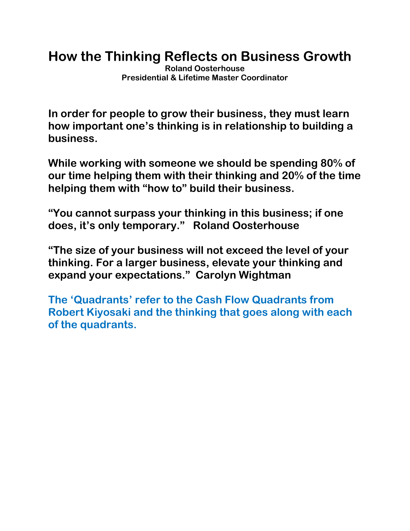# **How the Thinking Reflects on Business Growth**

**Roland Oosterhouse Presidential & Lifetime Master Coordinator** 

**In order for people to grow their business, they must learn how important one's thinking is in relationship to building a business.** 

**While working with someone we should be spending 80% of our time helping them with their thinking and 20% of the time helping them with "how to" build their business.** 

**"You cannot surpass your thinking in this business; if one does, it's only temporary." Roland Oosterhouse** 

**"The size of your business will not exceed the level of your thinking. For a larger business, elevate your thinking and expand your expectations." Carolyn Wightman**

**The 'Quadrants' refer to the Cash Flow Quadrants from Robert Kiyosaki and the thinking that goes along with each of the quadrants.**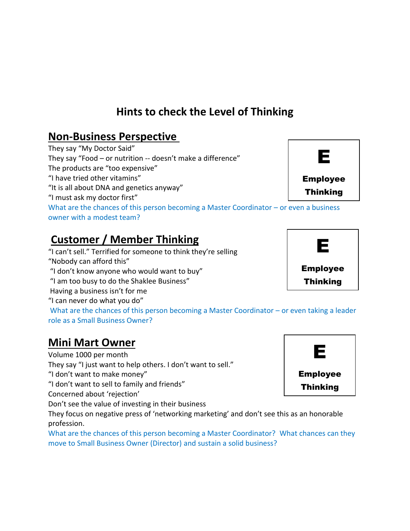# **Hints to check the Level of Thinking**

#### **Non-Business Perspective**

They say "My Doctor Said" They say "Food – or nutrition -- doesn't make a difference" The products are "too expensive" "I have tried other vitamins" "It is all about DNA and genetics anyway" "I must ask my doctor first" What are the chances of this person becoming a Master Coordinator – or even a business owner with a modest team? E Employee Thinking

# **Customer / Member Thinking**

"I can't sell." Terrified for someone to think they're selling "Nobody can afford this" "I don't know anyone who would want to buy" "I am too busy to do the Shaklee Business" Having a business isn't for me "I can never do what you do" What are the chances of this person becoming a Master Coordinator – or even taking a leader role as a Small Business Owner?

#### **Mini Mart Owner**

profession.

Volume 1000 per month They say "I just want to help others. I don't want to sell." "I don't want to make money" "I don't want to sell to family and friends" Concerned about 'rejection' Don't see the value of investing in their business They focus on negative press of 'networking marketing' and don't see this as an honorable

What are the chances of this person becoming a Master Coordinator? What chances can they move to Small Business Owner (Director) and sustain a solid business?





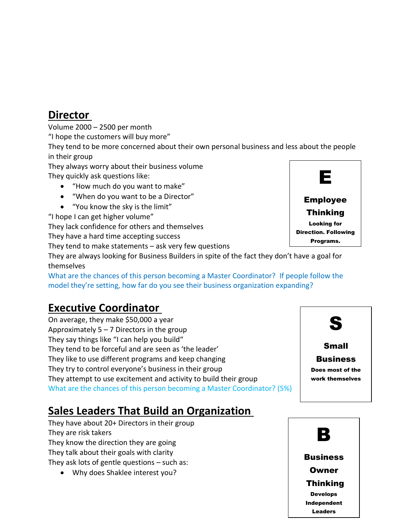#### **Director**

Volume 2000 – 2500 per month

"I hope the customers will buy more"

They tend to be more concerned about their own personal business and less about the people in their group

They always worry about their business volume They quickly ask questions like:

- "How much do you want to make"
- "When do you want to be a Director"
- "You know the sky is the limit"

"I hope I can get higher volume"

They lack confidence for others and themselves

They have a hard time accepting success

They tend to make statements – ask very few questions

They are always looking for Business Builders in spite of the fact they don't have a goal for themselves

What are the chances of this person becoming a Master Coordinator? If people follow the model they're setting, how far do you see their business organization expanding?

# **Executive Coordinator**

On average, they make \$50,000 a year Approximately  $5 - 7$  Directors in the group They say things like "I can help you build" They tend to be forceful and are seen as 'the leader' They like to use different programs and keep changing They try to control everyone's business in their group They attempt to use excitement and activity to build their group What are the chances of this person becoming a Master Coordinator? (5%)

# **Sales Leaders That Build an Organization**

They have about 20+ Directors in their group They are risk takers They know the direction they are going They talk about their goals with clarity They ask lots of gentle questions – such as:

Why does Shaklee interest you?







S